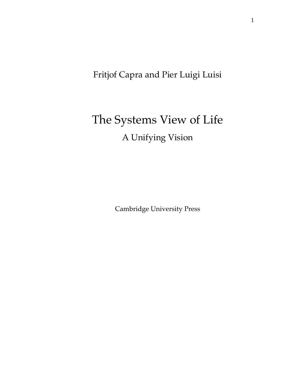## Fritjof Capra and Pier Luigi Luisi

# The Systems View of Life A Unifying Vision

Cambridge University Press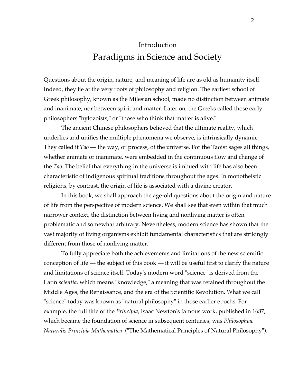## Introduction Paradigms in Science and Society

Questions about the origin, nature, and meaning of life are as old as humanity itself. Indeed, they lie at the very roots of philosophy and religion. The earliest school of Greek philosophy, known as the Milesian school, made no distinction between animate and inanimate, nor between spirit and matter. Later on, the Greeks called those early philosophers "hylozoists," or "those who think that matter is alive."

The ancient Chinese philosophers believed that the ultimate reality, which underlies and unifies the multiple phenomena we observe, is intrinsically dynamic. They called it *Tao* — the way, or process, of the universe. For the Taoist sages all things, whether animate or inanimate, were embedded in the continuous flow and change of the *Tao*. The belief that everything in the universe is imbued with life has also been characteristic of indigenous spiritual traditions throughout the ages. In monotheistic religions, by contrast, the origin of life is associated with a divine creator.

In this book, we shall approach the age-old questions about the origin and nature of life from the perspective of modern science. We shall see that even within that much narrower context, the distinction between living and nonliving matter is often problematic and somewhat arbitrary. Nevertheless, modern science has shown that the vast majority of living organisms exhibit fundamental characteristics that are strikingly different from those of nonliving matter.

To fully appreciate both the achievements and limitations of the new scientific conception of life — the subject of this book — it will be useful first to clarify the nature and limitations of science itself. Today's modern word "science" is derived from the Latin *scientia*, which means "knowledge," a meaning that was retained throughout the Middle Ages, the Renaissance, and the era of the Scientific Revolution. What we call "science" today was known as "natural philosophy" in those earlier epochs. For example, the full title of the *Principia*, Isaac Newton's famous work, published in 1687, which became the foundation of science in subsequent centuries, was *Philosophiae Naturalis Principia Mathematica* ("The Mathematical Principles of Natural Philosophy").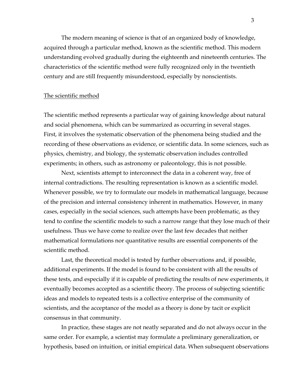The modern meaning of science is that of an organized body of knowledge, acquired through a particular method, known as the scientific method. This modern understanding evolved gradually during the eighteenth and nineteenth centuries. The characteristics of the scientific method were fully recognized only in the twentieth century and are still frequently misunderstood, especially by nonscientists.

#### The scientific method

The scientific method represents a particular way of gaining knowledge about natural and social phenomena, which can be summarized as occurring in several stages. First, it involves the systematic observation of the phenomena being studied and the recording of these observations as evidence, or scientific data. In some sciences, such as physics, chemistry, and biology, the systematic observation includes controlled experiments; in others, such as astronomy or paleontology, this is not possible.

Next, scientists attempt to interconnect the data in a coherent way, free of internal contradictions. The resulting representation is known as a scientific model. Whenever possible, we try to formulate our models in mathematical language, because of the precision and internal consistency inherent in mathematics. However, in many cases, especially in the social sciences, such attempts have been problematic, as they tend to confine the scientific models to such a narrow range that they lose much of their usefulness. Thus we have come to realize over the last few decades that neither mathematical formulations nor quantitative results are essential components of the scientific method.

Last, the theoretical model is tested by further observations and, if possible, additional experiments. If the model is found to be consistent with all the results of these tests, and especially if it is capable of predicting the results of new experiments, it eventually becomes accepted as a scientific theory. The process of subjecting scientific ideas and models to repeated tests is a collective enterprise of the community of scientists, and the acceptance of the model as a theory is done by tacit or explicit consensus in that community.

In practice, these stages are not neatly separated and do not always occur in the same order. For example, a scientist may formulate a preliminary generalization, or hypothesis, based on intuition, or initial empirical data. When subsequent observations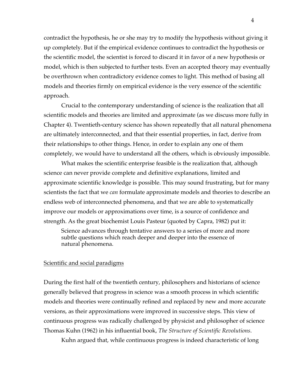contradict the hypothesis, he or she may try to modify the hypothesis without giving it up completely. But if the empirical evidence continues to contradict the hypothesis or the scientific model, the scientist is forced to discard it in favor of a new hypothesis or model, which is then subjected to further tests. Even an accepted theory may eventually be overthrown when contradictory evidence comes to light. This method of basing all models and theories firmly on empirical evidence is the very essence of the scientific approach.

Crucial to the contemporary understanding of science is the realization that all scientific models and theories are limited and approximate (as we discuss more fully in Chapter 4). Twentieth-century science has shown repeatedly that all natural phenomena are ultimately interconnected, and that their essential properties, in fact, derive from their relationships to other things. Hence, in order to explain any one of them completely, we would have to understand all the others, which is obviously impossible.

What makes the scientific enterprise feasible is the realization that, although science can never provide complete and definitive explanations, limited and approximate scientific knowledge is possible. This may sound frustrating, but for many scientists the fact that we *can* formulate approximate models and theories to describe an endless web of interconnected phenomena, and that we are able to systematically improve our models or approximations over time, is a source of confidence and strength. As the great biochemist Louis Pasteur (quoted by Capra, 1982) put it:

Science advances through tentative answers to a series of more and more subtle questions which reach deeper and deeper into the essence of natural phenomena.

#### Scientific and social paradigms

During the first half of the twentieth century, philosophers and historians of science generally believed that progress in science was a smooth process in which scientific models and theories were continually refined and replaced by new and more accurate versions, as their approximations were improved in successive steps. This view of continuous progress was radically challenged by physicist and philosopher of science Thomas Kuhn (1962) in his influential book, *The Structure of Scientific Revolutions*.

Kuhn argued that, while continuous progress is indeed characteristic of long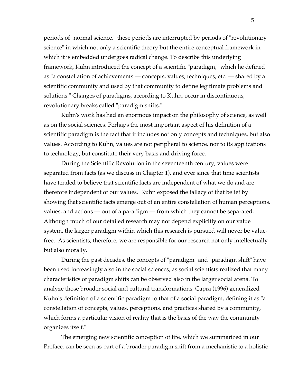periods of "normal science," these periods are interrupted by periods of "revolutionary science" in which not only a scientific theory but the entire conceptual framework in which it is embedded undergoes radical change. To describe this underlying framework, Kuhn introduced the concept of a scientific "paradigm," which he defined as "a constellation of achievements — concepts, values, techniques, etc. — shared by a scientific community and used by that community to define legitimate problems and solutions." Changes of paradigms, according to Kuhn, occur in discontinuous, revolutionary breaks called "paradigm shifts."

Kuhn's work has had an enormous impact on the philosophy of science, as well as on the social sciences. Perhaps the most important aspect of his definition of a scientific paradigm is the fact that it includes not only concepts and techniques, but also values. According to Kuhn, values are not peripheral to science, nor to its applications to technology, but constitute their very basis and driving force.

During the Scientific Revolution in the seventeenth century, values were separated from facts (as we discuss in Chapter 1), and ever since that time scientists have tended to believe that scientific facts are independent of what we do and are therefore independent of our values. Kuhn exposed the fallacy of that belief by showing that scientific facts emerge out of an entire constellation of human perceptions, values, and actions — out of a paradigm — from which they cannot be separated. Although much of our detailed research may not depend explicitly on our value system, the larger paradigm within which this research is pursued will never be valuefree. As scientists, therefore, we are responsible for our research not only intellectually but also morally.

During the past decades, the concepts of "paradigm" and "paradigm shift" have been used increasingly also in the social sciences, as social scientists realized that many characteristics of paradigm shifts can be observed also in the larger social arena. To analyze those broader social and cultural transformations, Capra (1996) generalized Kuhn's definition of a scientific paradigm to that of a social paradigm, defining it as "a constellation of concepts, values, perceptions, and practices shared by a community, which forms a particular vision of reality that is the basis of the way the community organizes itself."

The emerging new scientific conception of life, which we summarized in our Preface, can be seen as part of a broader paradigm shift from a mechanistic to a holistic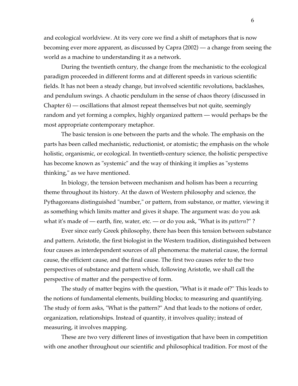and ecological worldview. At its very core we find a shift of metaphors that is now becoming ever more apparent, as discussed by Capra (2002) — a change from seeing the world as a machine to understanding it as a network.

During the twentieth century, the change from the mechanistic to the ecological paradigm proceeded in different forms and at different speeds in various scientific fields. It has not been a steady change, but involved scientific revolutions, backlashes, and pendulum swings. A chaotic pendulum in the sense of chaos theory (discussed in Chapter 6) — oscillations that almost repeat themselves but not quite, seemingly random and yet forming a complex, highly organized pattern — would perhaps be the most appropriate contemporary metaphor.

The basic tension is one between the parts and the whole. The emphasis on the parts has been called mechanistic, reductionist, or atomistic; the emphasis on the whole holistic, organismic, or ecological. In twentieth-century science, the holistic perspective has become known as "systemic" and the way of thinking it implies as "systems thinking," as we have mentioned.

In biology, the tension between mechanism and holism has been a recurring theme throughout its history. At the dawn of Western philosophy and science, the Pythagoreans distinguished "number," or pattern, from substance, or matter, viewing it as something which limits matter and gives it shape. The argument was: do you ask what it's made of — earth, fire, water, etc. — or do you ask, "What is its *pattern*?" ?

Ever since early Greek philosophy, there has been this tension between substance and pattern. Aristotle, the first biologist in the Western tradition, distinguished between four causes as interdependent sources of all phenomena: the material cause, the formal cause, the efficient cause, and the final cause. The first two causes refer to the two perspectives of substance and pattern which, following Aristotle, we shall call the perspective of matter and the perspective of form.

The study of matter begins with the question, "What is it made of?" This leads to the notions of fundamental elements, building blocks; to measuring and quantifying. The study of form asks, "What is the pattern?" And that leads to the notions of order, organization, relationships. Instead of quantity, it involves quality; instead of measuring, it involves mapping.

These are two very different lines of investigation that have been in competition with one another throughout our scientific and philosophical tradition. For most of the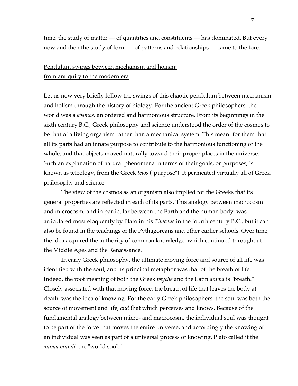time, the study of matter — of quantities and constituents — has dominated. But every now and then the study of form — of patterns and relationships — came to the fore.

### Pendulum swings between mechanism and holism: from antiquity to the modern era

Let us now very briefly follow the swings of this chaotic pendulum between mechanism and holism through the history of biology. For the ancient Greek philosophers, the world was a *kósmos*, an ordered and harmonious structure. From its beginnings in the sixth century B.C., Greek philosophy and science understood the order of the cosmos to be that of a living organism rather than a mechanical system. This meant for them that all its parts had an innate purpose to contribute to the harmonious functioning of the whole, and that objects moved naturally toward their proper places in the universe. Such an explanation of natural phenomena in terms of their goals, or purposes, is known as teleology, from the Greek *telos* ("purpose"). It permeated virtually all of Greek philosophy and science.

The view of the cosmos as an organism also implied for the Greeks that its general properties are reflected in each of its parts. This analogy between macrocosm and microcosm, and in particular between the Earth and the human body, was articulated most eloquently by Plato in his *Timaeus* in the fourth century B.C., but it can also be found in the teachings of the Pythagoreans and other earlier schools. Over time, the idea acquired the authority of common knowledge, which continued throughout the Middle Ages and the Renaissance.

In early Greek philosophy, the ultimate moving force and source of all life was identified with the soul, and its principal metaphor was that of the breath of life. Indeed, the root meaning of both the Greek *psyche* and the Latin *anima* is "breath." Closely associated with that moving force, the breath of life that leaves the body at death, was the idea of knowing. For the early Greek philosophers, the soul was both the source of movement and life, *and* that which perceives and knows. Because of the fundamental analogy between micro- and macrocosm, the individual soul was thought to be part of the force that moves the entire universe, and accordingly the knowing of an individual was seen as part of a universal process of knowing. Plato called it the *anima mundi*, the "world soul."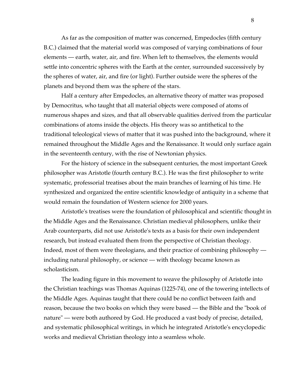As far as the composition of matter was concerned, Empedocles (fifth century B.C.) claimed that the material world was composed of varying combinations of four elements — earth, water, air, and fire. When left to themselves, the elements would settle into concentric spheres with the Earth at the center, surrounded successively by the spheres of water, air, and fire (or light). Further outside were the spheres of the planets and beyond them was the sphere of the stars.

Half a century after Empedocles, an alternative theory of matter was proposed by Democritus, who taught that all material objects were composed of atoms of numerous shapes and sizes, and that all observable qualities derived from the particular combinations of atoms inside the objects. His theory was so antithetical to the traditional teleological views of matter that it was pushed into the background, where it remained throughout the Middle Ages and the Renaissance. It would only surface again in the seventeenth century, with the rise of Newtonian physics.

For the history of science in the subsequent centuries, the most important Greek philosopher was Aristotle (fourth century B.C.). He was the first philosopher to write systematic, professorial treatises about the main branches of learning of his time. He synthesized and organized the entire scientific knowledge of antiquity in a scheme that would remain the foundation of Western science for 2000 years.

Aristotle's treatises were the foundation of philosophical and scientific thought in the Middle Ages and the Renaissance. Christian medieval philosophers, unlike their Arab counterparts, did not use Aristotle's texts as a basis for their own independent research, but instead evaluated them from the perspective of Christian theology. Indeed, most of them were theologians, and their practice of combining philosophy including natural philosophy, or science — with theology became known as scholasticism.

The leading figure in this movement to weave the philosophy of Aristotle into the Christian teachings was Thomas Aquinas (1225-74), one of the towering intellects of the Middle Ages. Aquinas taught that there could be no conflict between faith and reason, because the two books on which they were based — the Bible and the "book of nature" — were both authored by God. He produced a vast body of precise, detailed, and systematic philosophical writings, in which he integrated Aristotle's encyclopedic works and medieval Christian theology into a seamless whole.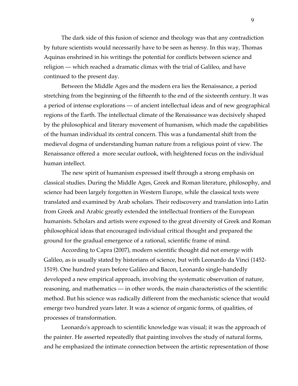The dark side of this fusion of science and theology was that any contradiction by future scientists would necessarily have to be seen as heresy. In this way, Thomas Aquinas enshrined in his writings the potential for conflicts between science and religion — which reached a dramatic climax with the trial of Galileo, and have continued to the present day.

Between the Middle Ages and the modern era lies the Renaissance, a period stretching from the beginning of the fifteenth to the end of the sixteenth century. It was a period of intense explorations — of ancient intellectual ideas and of new geographical regions of the Earth. The intellectual climate of the Renaissance was decisively shaped by the philosophical and literary movement of humanism, which made the capabilities of the human individual its central concern. This was a fundamental shift from the medieval dogma of understanding human nature from a religious point of view. The Renaissance offered a more secular outlook, with heightened focus on the individual human intellect.

The new spirit of humanism expressed itself through a strong emphasis on classical studies. During the Middle Ages, Greek and Roman literature, philosophy, and science had been largely forgotten in Western Europe, while the classical texts were translated and examined by Arab scholars. Their rediscovery and translation into Latin from Greek and Arabic greatly extended the intellectual frontiers of the European humanists. Scholars and artists were exposed to the great diversity of Greek and Roman philosophical ideas that encouraged individual critical thought and prepared the ground for the gradual emergence of a rational, scientific frame of mind.

According to Capra (2007), modern scientific thought did not emerge with Galileo, as is usually stated by historians of science, but with Leonardo da Vinci (1452- 1519). One hundred years before Galileo and Bacon, Leonardo single-handedly developed a new empirical approach, involving the systematic observation of nature, reasoning, and mathematics — in other words, the main characteristics of the scientific method. But his science was radically different from the mechanistic science that would emerge two hundred years later. It was a science of organic forms, of qualities, of processes of transformation.

Leonardo's approach to scientific knowledge was visual; it was the approach of the painter. He asserted repeatedly that painting involves the study of natural forms, and he emphasized the intimate connection between the artistic representation of those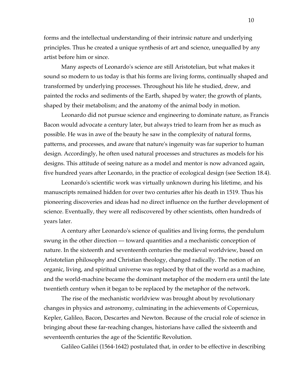forms and the intellectual understanding of their intrinsic nature and underlying principles. Thus he created a unique synthesis of art and science, unequalled by any artist before him or since.

Many aspects of Leonardo's science are still Aristotelian, but what makes it sound so modern to us today is that his forms are living forms, continually shaped and transformed by underlying processes. Throughout his life he studied, drew, and painted the rocks and sediments of the Earth, shaped by water; the growth of plants, shaped by their metabolism; and the anatomy of the animal body in motion.

Leonardo did not pursue science and engineering to dominate nature, as Francis Bacon would advocate a century later, but always tried to learn from her as much as possible. He was in awe of the beauty he saw in the complexity of natural forms, patterns, and processes, and aware that nature's ingenuity was far superior to human design. Accordingly, he often used natural processes and structures as models for his designs. This attitude of seeing nature as a model and mentor is now advanced again, five hundred years after Leonardo, in the practice of ecological design (see Section 18.4).

Leonardo's scientific work was virtually unknown during his lifetime, and his manuscripts remained hidden for over two centuries after his death in 1519. Thus his pioneering discoveries and ideas had no direct influence on the further development of science. Eventually, they were all rediscovered by other scientists, often hundreds of years later.

A century after Leonardo's science of qualities and living forms, the pendulum swung in the other direction — toward quantities and a mechanistic conception of nature. In the sixteenth and seventeenth centuries the medieval worldview, based on Aristotelian philosophy and Christian theology, changed radically. The notion of an organic, living, and spiritual universe was replaced by that of the world as a machine, and the world-machine became the dominant metaphor of the modern era until the late twentieth century when it began to be replaced by the metaphor of the network.

The rise of the mechanistic worldview was brought about by revolutionary changes in physics and astronomy, culminating in the achievements of Copernicus, Kepler, Galileo, Bacon, Descartes and Newton. Because of the crucial role of science in bringing about these far-reaching changes, historians have called the sixteenth and seventeenth centuries the age of the Scientific Revolution.

Galileo Galilei (1564-1642) postulated that, in order to be effective in describing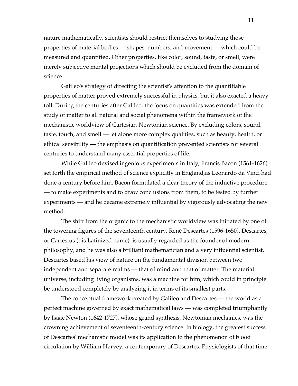nature mathematically, scientists should restrict themselves to studying those properties of material bodies — shapes, numbers, and movement — which could be measured and quantified. Other properties, like color, sound, taste, or smell, were merely subjective mental projections which should be excluded from the domain of science.

Galileo's strategy of directing the scientist's attention to the quantifiable properties of matter proved extremely successful in physics, but it also exacted a heavy toll. During the centuries after Galileo, the focus on quantities was extended from the study of matter to all natural and social phenomena within the framework of the mechanistic worldview of Cartesian-Newtonian science. By excluding colors, sound, taste, touch, and smell — let alone more complex qualities, such as beauty, health, or ethical sensibility — the emphasis on quantification prevented scientists for several centuries to understand many essential properties of life.

While Galileo devised ingenious experiments in Italy, Francis Bacon (1561-1626) set forth the empirical method of science explicitly in England,as Leonardo da Vinci had done a century before him. Bacon formulated a clear theory of the inductive procedure — to make experiments and to draw conclusions from them, to be tested by further experiments — and he became extremely influential by vigorously advocating the new method.

The shift from the organic to the mechanistic worldview was initiated by one of the towering figures of the seventeenth century, René Descartes (1596-1650). Descartes, or Cartesius (his Latinized name), is usually regarded as the founder of modern philosophy, and he was also a brilliant mathematician and a very influential scientist. Descartes based his view of nature on the fundamental division between two independent and separate realms — that of mind and that of matter. The material universe, including living organisms, was a machine for him, which could in principle be understood completely by analyzing it in terms of its smallest parts.

The conceptual framework created by Galileo and Descartes — the world as a perfect machine governed by exact mathematical laws — was completed triumphantly by Isaac Newton (1642-1727), whose grand synthesis, Newtonian mechanics, was the crowning achievement of seventeenth-century science. In biology, the greatest success of Descartes' mechanistic model was its application to the phenomenon of blood circulation by William Harvey, a contemporary of Descartes. Physiologists of that time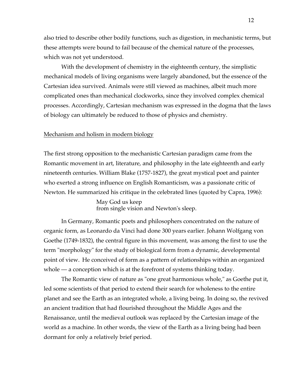also tried to describe other bodily functions, such as digestion, in mechanistic terms, but these attempts were bound to fail because of the chemical nature of the processes, which was not yet understood.

With the development of chemistry in the eighteenth century, the simplistic mechanical models of living organisms were largely abandoned, but the essence of the Cartesian idea survived. Animals were still viewed as machines, albeit much more complicated ones than mechanical clockworks, since they involved complex chemical processes. Accordingly, Cartesian mechanism was expressed in the dogma that the laws of biology can ultimately be reduced to those of physics and chemistry.

#### Mechanism and holism in modern biology

The first strong opposition to the mechanistic Cartesian paradigm came from the Romantic movement in art, literature, and philosophy in the late eighteenth and early nineteenth centuries. William Blake (1757-1827), the great mystical poet and painter who exerted a strong influence on English Romanticism, was a passionate critic of Newton. He summarized his critique in the celebrated lines (quoted by Capra, 1996):

> May God us keep from single vision and Newton's sleep.

In Germany, Romantic poets and philosophers concentrated on the nature of organic form, as Leonardo da Vinci had done 300 years earlier. Johann Wolfgang von Goethe (1749-1832), the central figure in this movement, was among the first to use the term "morphology" for the study of biological form from a dynamic, developmental point of view. He conceived of form as a pattern of relationships within an organized whole — a conception which is at the forefront of systems thinking today.

The Romantic view of nature as "one great harmonious whole," as Goethe put it, led some scientists of that period to extend their search for wholeness to the entire planet and see the Earth as an integrated whole, a living being. In doing so, the revived an ancient tradition that had flourished throughout the Middle Ages and the Renaissance, until the medieval outlook was replaced by the Cartesian image of the world as a machine. In other words, the view of the Earth as a living being had been dormant for only a relatively brief period.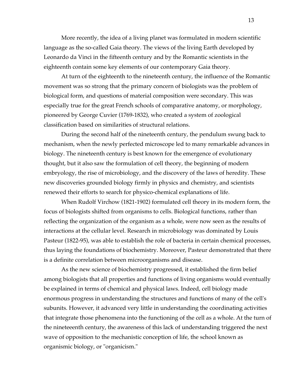More recently, the idea of a living planet was formulated in modern scientific language as the so-called Gaia theory. The views of the living Earth developed by Leonardo da Vinci in the fifteenth century and by the Romantic scientists in the eighteenth contain some key elements of our contemporary Gaia theory.

At turn of the eighteenth to the nineteenth century, the influence of the Romantic movement was so strong that the primary concern of biologists was the problem of biological form, and questions of material composition were secondary. This was especially true for the great French schools of comparative anatomy, or morphology, pioneered by George Cuvier (1769-1832), who created a system of zoological classification based on similarities of structural relations.

During the second half of the nineteenth century, the pendulum swung back to mechanism, when the newly perfected microscope led to many remarkable advances in biology. The nineteenth century is best known for the emergence of evolutionary thought, but it also saw the formulation of cell theory, the beginning of modern embryology, the rise of microbiology, and the discovery of the laws of heredity. These new discoveries grounded biology firmly in physics and chemistry, and scientists renewed their efforts to search for physico-chemical explanations of life.

When Rudolf Virchow (1821-1902) formulated cell theory in its modern form, the focus of biologists shifted from organisms to cells. Biological functions, rather than reflecting the organization of the organism as a whole, were now seen as the results of interactions at the cellular level. Research in microbiology was dominated by Louis Pasteur (1822-95), was able to establish the role of bacteria in certain chemical processes, thus laying the foundations of biochemistry. Moreover, Pasteur demonstrated that there is a definite correlation between microorganisms and disease.

As the new science of biochemistry progressed, it established the firm belief among biologists that all properties and functions of living organisms would eventually be explained in terms of chemical and physical laws. Indeed, cell biology made enormous progress in understanding the structures and functions of many of the cell's subunits. However, it advanced very little in understanding the coordinating activities that integrate those phenomena into the functioning of the cell as a whole. At the turn of the nineteeenth century, the awareness of this lack of understanding triggered the next wave of opposition to the mechanistic conception of life, the school known as organismic biology, or "organicism."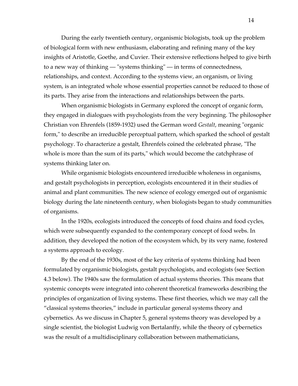During the early twentieth century, organismic biologists, took up the problem of biological form with new enthusiasm, elaborating and refining many of the key insights of Aristotle, Goethe, and Cuvier. Their extensive reflections helped to give birth to a new way of thinking — "systems thinking" — in terms of connectedness, relationships, and context. According to the systems view, an organism, or living system, is an integrated whole whose essential properties cannot be reduced to those of its parts. They arise from the interactions and relationships between the parts.

When organismic biologists in Germany explored the concept of organic form, they engaged in dialogues with psychologists from the very beginning. The philosopher Christian von Ehrenfels (1859-1932) used the German word *Gestalt*, meaning "organic form," to describe an irreducible perceptual pattern, which sparked the school of gestalt psychology. To characterize a gestalt, Ehrenfels coined the celebrated phrase, "The whole is more than the sum of its parts," which would become the catchphrase of systems thinking later on.

While organismic biologists encountered irreducible wholeness in organisms, and gestalt psychologists in perception, ecologists encountered it in their studies of animal and plant communities. The new science of ecology emerged out of organismic biology during the late nineteenth century, when biologists began to study communities of organisms.

In the 1920s, ecologists introduced the concepts of food chains and food cycles, which were subsequently expanded to the contemporary concept of food webs. In addition, they developed the notion of the ecosystem which, by its very name, fostered a systems approach to ecology.

By the end of the 1930s, most of the key criteria of systems thinking had been formulated by organismic biologists, gestalt psychologists, and ecologists (see Section 4.3 below). The 1940s saw the formulation of actual systems theories. This means that systemic concepts were integrated into coherent theoretical frameworks describing the principles of organization of living systems. These first theories, which we may call the "classical systems theories," include in particular general systems theory and cybernetics. As we discuss in Chapter 5, general systems theory was developed by a single scientist, the biologist Ludwig von Bertalanffy, while the theory of cybernetics was the result of a multidisciplinary collaboration between mathematicians,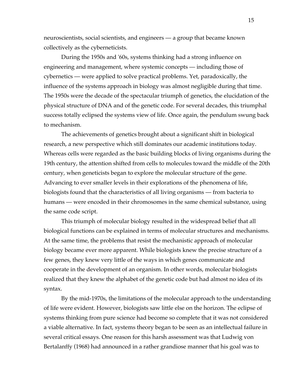neuroscientists, social scientists, and engineers — a group that became known collectively as the cyberneticists.

During the 1950s and '60s, systems thinking had a strong influence on engineering and management, where systemic concepts — including those of cybernetics — were applied to solve practical problems. Yet, paradoxically, the influence of the systems approach in biology was almost negligible during that time. The 1950s were the decade of the spectacular triumph of genetics, the elucidation of the physical structure of DNA and of the genetic code. For several decades, this triumphal success totally eclipsed the systems view of life. Once again, the pendulum swung back to mechanism.

The achievements of genetics brought about a significant shift in biological research, a new perspective which still dominates our academic institutions today. Whereas cells were regarded as the basic building blocks of living organisms during the 19th century, the attention shifted from cells to molecules toward the middle of the 20th century, when geneticists began to explore the molecular structure of the gene. Advancing to ever smaller levels in their explorations of the phenomena of life, biologists found that the characteristics of all living organisms — from bacteria to humans — were encoded in their chromosomes in the same chemical substance, using the same code script.

This triumph of molecular biology resulted in the widespread belief that all biological functions can be explained in terms of molecular structures and mechanisms. At the same time, the problems that resist the mechanistic approach of molecular biology became ever more apparent. While biologists knew the precise structure of a few genes, they knew very little of the ways in which genes communicate and cooperate in the development of an organism. In other words, molecular biologists realized that they knew the alphabet of the genetic code but had almost no idea of its syntax.

By the mid-1970s, the limitations of the molecular approach to the understanding of life were evident. However, biologists saw little else on the horizon. The eclipse of systems thinking from pure science had become so complete that it was not considered a viable alternative. In fact, systems theory began to be seen as an intellectual failure in several critical essays. One reason for this harsh assessment was that Ludwig von Bertalanffy (1968) had announced in a rather grandiose manner that his goal was to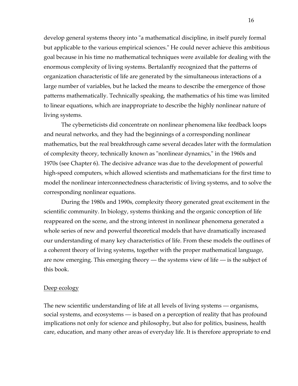develop general systems theory into "a mathematical discipline, in itself purely formal but applicable to the various empirical sciences." He could never achieve this ambitious goal because in his time no mathematical techniques were available for dealing with the enormous complexity of living systems. Bertalanffy recognized that the patterns of organization characteristic of life are generated by the simultaneous interactions of a large number of variables, but he lacked the means to describe the emergence of those patterns mathematically. Technically speaking, the mathematics of his time was limited to linear equations, which are inappropriate to describe the highly nonlinear nature of living systems.

The cyberneticists did concentrate on nonlinear phenomena like feedback loops and neural networks, and they had the beginnings of a corresponding nonlinear mathematics, but the real breakthrough came several decades later with the formulation of complexity theory, technically known as "nonlinear dynamics," in the 1960s and 1970s (see Chapter 6). The decisive advance was due to the development of powerful high-speed computers, which allowed scientists and mathematicians for the first time to model the nonlinear interconnectedness characteristic of living systems, and to solve the corresponding nonlinear equations.

During the 1980s and 1990s, complexity theory generated great excitement in the scientific community. In biology, systems thinking and the organic conception of life reappeared on the scene, and the strong interest in nonlinear phenomena generated a whole series of new and powerful theoretical models that have dramatically increased our understanding of many key characteristics of life. From these models the outlines of a coherent theory of living systems, together with the proper mathematical language, are now emerging. This emerging theory — the systems view of life — is the subject of this book.

#### Deep ecology

The new scientific understanding of life at all levels of living systems — organisms, social systems, and ecosystems — is based on a perception of reality that has profound implications not only for science and philosophy, but also for politics, business, health care, education, and many other areas of everyday life. It is therefore appropriate to end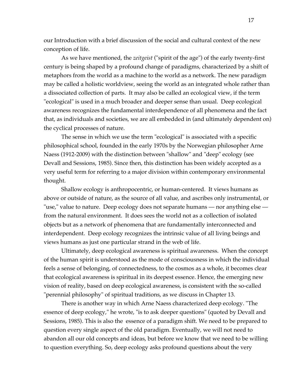our Introduction with a brief discussion of the social and cultural context of the new conception of life.

As we have mentioned, the *zeitgeist* ("spirit of the age") of the early twenty-first century is being shaped by a profound change of paradigms, characterized by a shift of metaphors from the world as a machine to the world as a network. The new paradigm may be called a holistic worldview, seeing the world as an integrated whole rather than a dissociated collection of parts. It may also be called an ecological view, if the term "ecological" is used in a much broader and deeper sense than usual. Deep ecological awareness recognizes the fundamental interdependence of all phenomena and the fact that, as individuals and societies, we are all embedded in (and ultimately dependent on) the cyclical processes of nature.

The sense in which we use the term "ecological" is associated with a specific philosophical school, founded in the early 1970s by the Norwegian philosopher Arne Naess (1912-2009) with the distinction between "shallow" and "deep" ecology (see Devall and Sessions, 1985). Since then, this distinction has been widely accepted as a very useful term for referring to a major division within contemporary environmental thought.

Shallow ecology is anthropocentric, or human-centered. It views humans as above or outside of nature, as the source of all value, and ascribes only instrumental, or "use," value to nature. Deep ecology does not separate humans — nor anything else from the natural environment. It does sees the world not as a collection of isolated objects but as a network of phenomena that are fundamentally interconnected and interdependent. Deep ecology recognizes the intrinsic value of all living beings and views humans as just one particular strand in the web of life.

Ultimately, deep ecological awareness is spiritual awareness. When the concept of the human spirit is understood as the mode of consciousness in which the individual feels a sense of belonging, of connectedness, to the cosmos as a whole, it becomes clear that ecological awareness is spiritual in its deepest essence. Hence, the emerging new vision of reality, based on deep ecological awareness, is consistent with the so-called "perennial philosophy" of spiritual traditions, as we discuss in Chapter 13.

There is another way in which Arne Naess characterized deep ecology. "The essence of deep ecology," he wrote, "is to ask deeper questions" (quoted by Devall and Sessions, 1985). This is also the essence of a paradigm shift. We need to be prepared to question every single aspect of the old paradigm. Eventually, we will not need to abandon all our old concepts and ideas, but before we know that we need to be willing to question everything. So, deep ecology asks profound questions about the very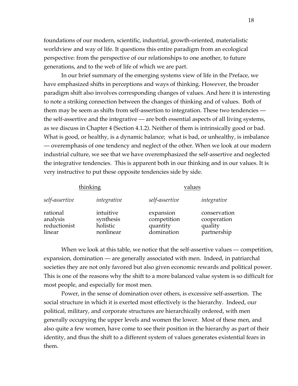foundations of our modern, scientific, industrial, growth-oriented, materialistic worldview and way of life. It questions this entire paradigm from an ecological perspective: from the perspective of our relationships to one another, to future generations, and to the web of life of which we are part.

In our brief summary of the emerging systems view of life in the Preface, we have emphasized shifts in perceptions and ways of thinking. However, the broader paradigm shift also involves corresponding changes of values. And here it is interesting to note a striking connection between the changes of thinking and of values. Both of them may be seem as shifts from self-assertion to integration. These two tendencies the self-assertive and the integrative — are both essential aspects of all living systems, as we discuss in Chapter 4 (Section 4.1.2). Neither of them is intrinsically good or bad. What is good, or healthy, is a dynamic balance; what is bad, or unhealthy, is imbalance — overemphasis of one tendency and neglect of the other. When we look at our modern industrial culture, we see that we have overemphasized the self-assertive and neglected the integrative tendencies. This is apparent both in our thinking and in our values. It is very instructive to put these opposite tendencies side by side.

| thinking                                       |                                                 | values                                             |                                                       |
|------------------------------------------------|-------------------------------------------------|----------------------------------------------------|-------------------------------------------------------|
| self-assertive                                 | integrative                                     | self-assertive                                     | integrative                                           |
| rational<br>analysis<br>reductionist<br>linear | intuitive<br>synthesis<br>holistic<br>nonlinear | expansion<br>competition<br>quantity<br>domination | conservation<br>cooperation<br>quality<br>partnership |

When we look at this table, we notice that the self-assertive values — competition, expansion, domination — are generally associated with men. Indeed, in patriarchal societies they are not only favored but also given economic rewards and political power. This is one of the reasons why the shift to a more balanced value system is so difficult for most people, and especially for most men.

Power, in the sense of domination over others, is excessive self-assertion. The social structure in which it is exerted most effectively is the hierarchy. Indeed, our political, military, and corporate structures are hierarchically ordered, with men generally occupying the upper levels and women the lower. Most of these men, and also quite a few women, have come to see their position in the hierarchy as part of their identity, and thus the shift to a different system of values generates existential fears in them.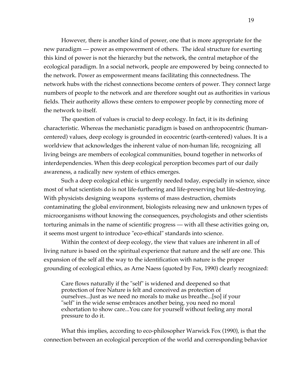However, there is another kind of power, one that is more appropriate for the new paradigm — power as empowerment of others. The ideal structure for exerting this kind of power is not the hierarchy but the network, the central metaphor of the ecological paradigm. In a social network, people are empowered by being connected to the network. Power as empowerment means facilitating this connectedness. The network hubs with the richest connections become centers of power. They connect large numbers of people to the network and are therefore sought out as authorities in various fields. Their authority allows these centers to empower people by connecting more of the network to itself.

The question of values is crucial to deep ecology. In fact, it is its defining characteristic. Whereas the mechanistic paradigm is based on anthropocentric (humancentered) values, deep ecology is grounded in ecocentric (earth-centered) values. It is a worldview that acknowledges the inherent value of non-human life, recognizing all living beings are members of ecological communities, bound together in networks of interdependencies. When this deep ecological perception becomes part of our daily awareness, a radically new system of ethics emerges.

Such a deep ecological ethic is urgently needed today, especially in science, since most of what scientists do is not life-furthering and life-preserving but life-destroying. With physicists designing weapons systems of mass destruction, chemists contaminating the global environment, biologists releasing new and unknown types of microorganisms without knowing the consequences, psychologists and other scientists torturing animals in the name of scientific progress — with all these activities going on, it seems most urgent to introduce "eco-ethical" standards into science.

Within the context of deep ecology, the view that values are inherent in all of living nature is based on the spiritual experience that nature and the self are one. This expansion of the self all the way to the identification with nature is the proper grounding of ecological ethics, as Arne Naess (quoted by Fox, 1990) clearly recognized:

Care flows naturally if the "self" is widened and deepened so that protection of free Nature is felt and conceived as protection of ourselves...Just as we need no morals to make us breathe...[so] if your "self" in the wide sense embraces another being, you need no moral exhortation to show care...You care for yourself without feeling any moral pressure to do it.

What this implies, according to eco-philosopher Warwick Fox (1990), is that the connection between an ecological perception of the world and corresponding behavior